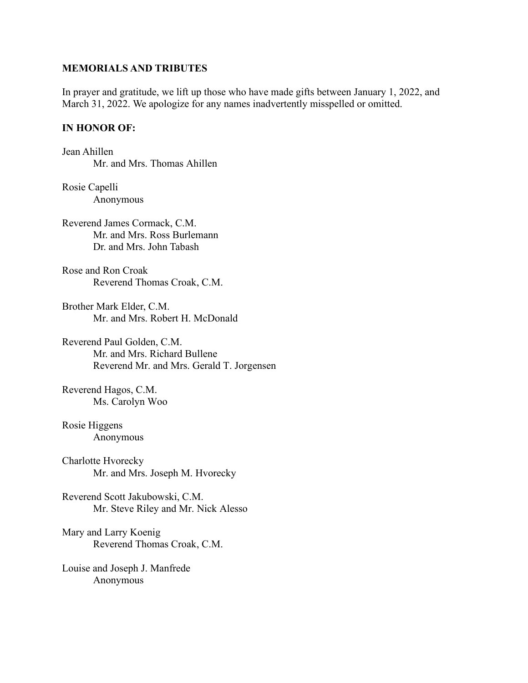## **MEMORIALS AND TRIBUTES**

In prayer and gratitude, we lift up those who have made gifts between January 1, 2022, and March 31, 2022. We apologize for any names inadvertently misspelled or omitted.

# **IN HONOR OF:**

Jean Ahillen Mr. and Mrs. Thomas Ahillen

Rosie Capelli Anonymous

Reverend James Cormack, C.M. Mr. and Mrs. Ross Burlemann Dr. and Mrs. John Tabash

Rose and Ron Croak Reverend Thomas Croak, C.M.

Brother Mark Elder, C.M. Mr. and Mrs. Robert H. McDonald

Reverend Paul Golden, C.M. Mr. and Mrs. Richard Bullene Reverend Mr. and Mrs. Gerald T. Jorgensen

Reverend Hagos, C.M. Ms. Carolyn Woo

Rosie Higgens Anonymous

Charlotte Hvorecky Mr. and Mrs. Joseph M. Hvorecky

Reverend Scott Jakubowski, C.M. Mr. Steve Riley and Mr. Nick Alesso

Mary and Larry Koenig Reverend Thomas Croak, C.M.

Louise and Joseph J. Manfrede Anonymous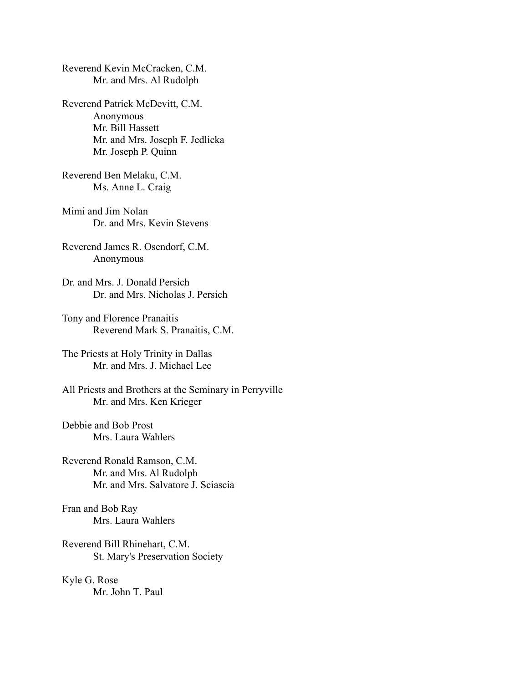Reverend Kevin McCracken, C.M. Mr. and Mrs. Al Rudolph

Reverend Patrick McDevitt, C.M. Anonymous Mr. Bill Hassett Mr. and Mrs. Joseph F. Jedlicka Mr. Joseph P. Quinn

Reverend Ben Melaku, C.M. Ms. Anne L. Craig

Mimi and Jim Nolan Dr. and Mrs. Kevin Stevens

Reverend James R. Osendorf, C.M. Anonymous

Dr. and Mrs. J. Donald Persich Dr. and Mrs. Nicholas J. Persich

Tony and Florence Pranaitis Reverend Mark S. Pranaitis, C.M.

The Priests at Holy Trinity in Dallas Mr. and Mrs. J. Michael Lee

All Priests and Brothers at the Seminary in Perryville Mr. and Mrs. Ken Krieger

Debbie and Bob Prost Mrs. Laura Wahlers

Reverend Ronald Ramson, C.M. Mr. and Mrs. Al Rudolph Mr. and Mrs. Salvatore J. Sciascia

Fran and Bob Ray Mrs. Laura Wahlers

Reverend Bill Rhinehart, C.M. St. Mary's Preservation Society

Kyle G. Rose Mr. John T. Paul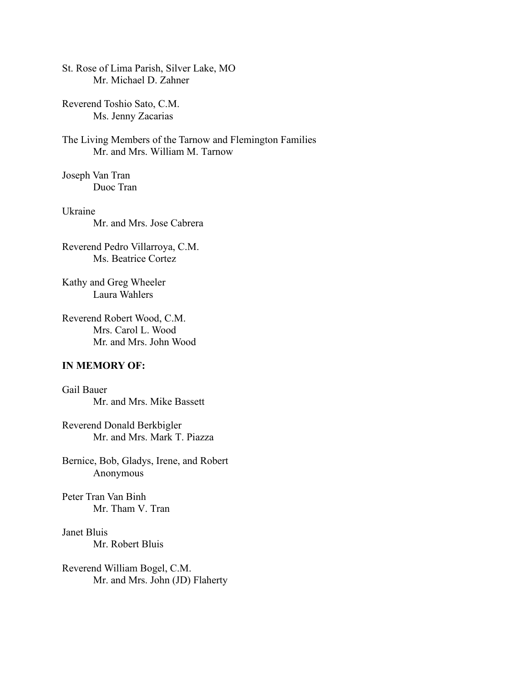St. Rose of Lima Parish, Silver Lake, MO Mr. Michael D. Zahner

Reverend Toshio Sato, C.M. Ms. Jenny Zacarias

The Living Members of the Tarnow and Flemington Families Mr. and Mrs. William M. Tarnow

Joseph Van Tran Duoc Tran

Ukraine Mr. and Mrs. Jose Cabrera

Reverend Pedro Villarroya, C.M. Ms. Beatrice Cortez

Kathy and Greg Wheeler Laura Wahlers

Reverend Robert Wood, C.M. Mrs. Carol L. Wood Mr. and Mrs. John Wood

# **IN MEMORY OF:**

Gail Bauer Mr. and Mrs. Mike Bassett

Reverend Donald Berkbigler Mr. and Mrs. Mark T. Piazza

Bernice, Bob, Gladys, Irene, and Robert Anonymous

Peter Tran Van Binh Mr. Tham V. Tran

Janet Bluis Mr. Robert Bluis

Reverend William Bogel, C.M. Mr. and Mrs. John (JD) Flaherty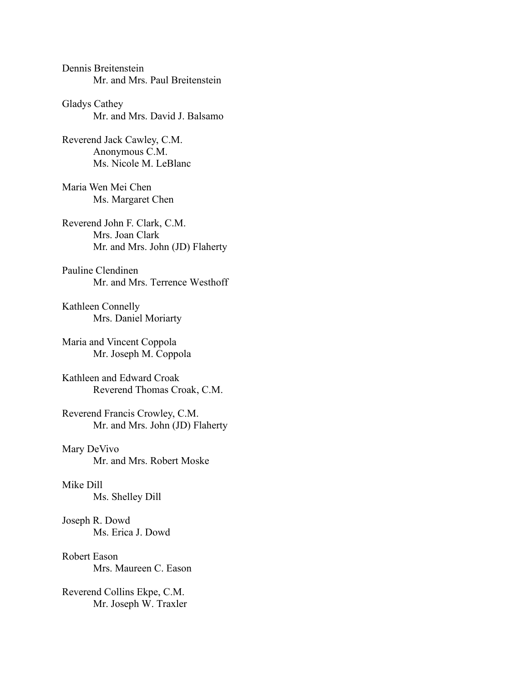Dennis Breitenstein Mr. and Mrs. Paul Breitenstein

Gladys Cathey Mr. and Mrs. David J. Balsamo

Reverend Jack Cawley, C.M. Anonymous C.M. Ms. Nicole M. LeBlanc

Maria Wen Mei Chen Ms. Margaret Chen

Reverend John F. Clark, C.M. Mrs. Joan Clark Mr. and Mrs. John (JD) Flaherty

Pauline Clendinen Mr. and Mrs. Terrence Westhoff

Kathleen Connelly Mrs. Daniel Moriarty

Maria and Vincent Coppola Mr. Joseph M. Coppola

Kathleen and Edward Croak Reverend Thomas Croak, C.M.

Reverend Francis Crowley, C.M. Mr. and Mrs. John (JD) Flaherty

Mary DeVivo Mr. and Mrs. Robert Moske

Mike Dill Ms. Shelley Dill

Joseph R. Dowd Ms. Erica J. Dowd

Robert Eason Mrs. Maureen C. Eason

Reverend Collins Ekpe, C.M. Mr. Joseph W. Traxler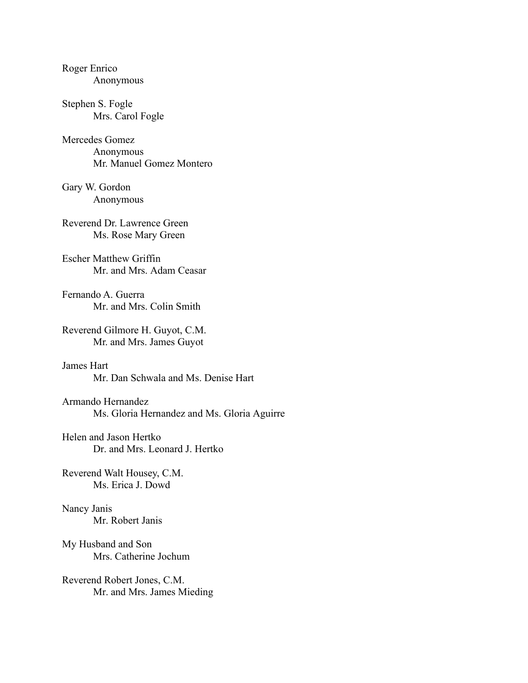| Roger Enrico<br>Anonymous                                        |
|------------------------------------------------------------------|
| Stephen S. Fogle<br>Mrs. Carol Fogle                             |
| Mercedes Gomez<br>Anonymous<br>Mr. Manuel Gomez Montero          |
| Gary W. Gordon<br>Anonymous                                      |
| Reverend Dr. Lawrence Green<br>Ms. Rose Mary Green               |
| <b>Escher Matthew Griffin</b><br>Mr. and Mrs. Adam Ceasar        |
| Fernando A. Guerra<br>Mr. and Mrs. Colin Smith                   |
| Reverend Gilmore H. Guyot, C.M.<br>Mr. and Mrs. James Guyot      |
| James Hart<br>Mr. Dan Schwala and Ms. Denise Hart                |
| Armando Hernandez<br>Ms. Gloria Hernandez and Ms. Gloria Aguirre |
| Helen and Jason Hertko<br>Dr. and Mrs. Leonard J. Hertko         |
| Reverend Walt Housey, C.M.<br>Ms. Erica J. Dowd                  |
| Nancy Janis<br>Mr. Robert Janis                                  |
| My Husband and Son<br>Mrs. Catherine Jochum                      |
| Reverend Robert Jones, C.M.<br>Mr. and Mrs. James Mieding        |
|                                                                  |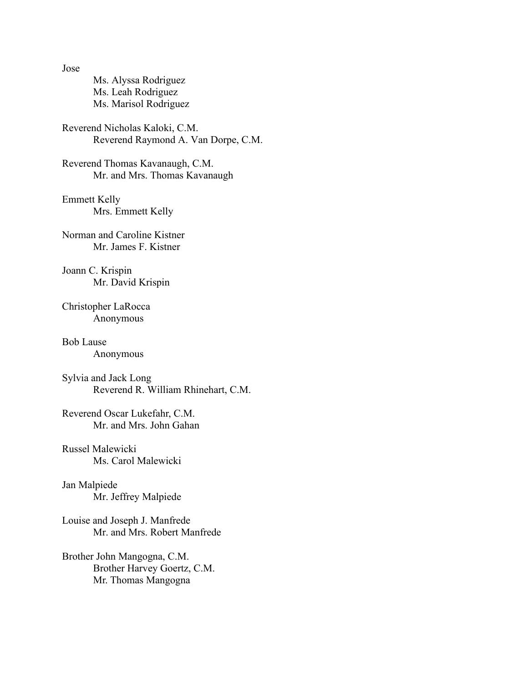Jose

Ms. Alyssa Rodriguez Ms. Leah Rodriguez Ms. Marisol Rodriguez

Reverend Nicholas Kaloki, C.M. Reverend Raymond A. Van Dorpe, C.M.

Reverend Thomas Kavanaugh, C.M. Mr. and Mrs. Thomas Kavanaugh

Emmett Kelly Mrs. Emmett Kelly

Norman and Caroline Kistner Mr. James F. Kistner

Joann C. Krispin Mr. David Krispin

Christopher LaRocca Anonymous

Bob Lause Anonymous

Sylvia and Jack Long Reverend R. William Rhinehart, C.M.

Reverend Oscar Lukefahr, C.M. Mr. and Mrs. John Gahan

Russel Malewicki Ms. Carol Malewicki

Jan Malpiede Mr. Jeffrey Malpiede

Louise and Joseph J. Manfrede Mr. and Mrs. Robert Manfrede

Brother John Mangogna, C.M. Brother Harvey Goertz, C.M. Mr. Thomas Mangogna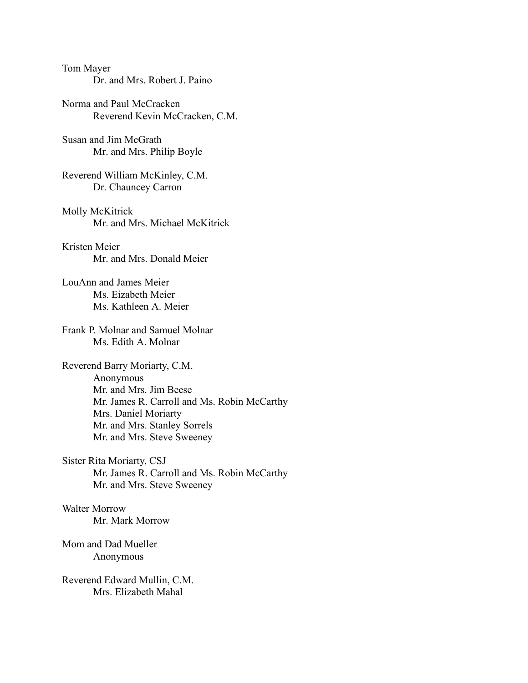### Tom Mayer Dr. and Mrs. Robert J. Paino

Norma and Paul McCracken Reverend Kevin McCracken, C.M.

Susan and Jim McGrath Mr. and Mrs. Philip Boyle

Reverend William McKinley, C.M. Dr. Chauncey Carron

Molly McKitrick Mr. and Mrs. Michael McKitrick

Kristen Meier Mr. and Mrs. Donald Meier

LouAnn and James Meier Ms. Eizabeth Meier Ms. Kathleen A. Meier

Frank P. Molnar and Samuel Molnar Ms. Edith A. Molnar

Reverend Barry Moriarty, C.M. Anonymous Mr. and Mrs. Jim Beese Mr. James R. Carroll and Ms. Robin McCarthy Mrs. Daniel Moriarty Mr. and Mrs. Stanley Sorrels Mr. and Mrs. Steve Sweeney

Sister Rita Moriarty, CSJ Mr. James R. Carroll and Ms. Robin McCarthy Mr. and Mrs. Steve Sweeney

Walter Morrow Mr. Mark Morrow

Mom and Dad Mueller Anonymous

Reverend Edward Mullin, C.M. Mrs. Elizabeth Mahal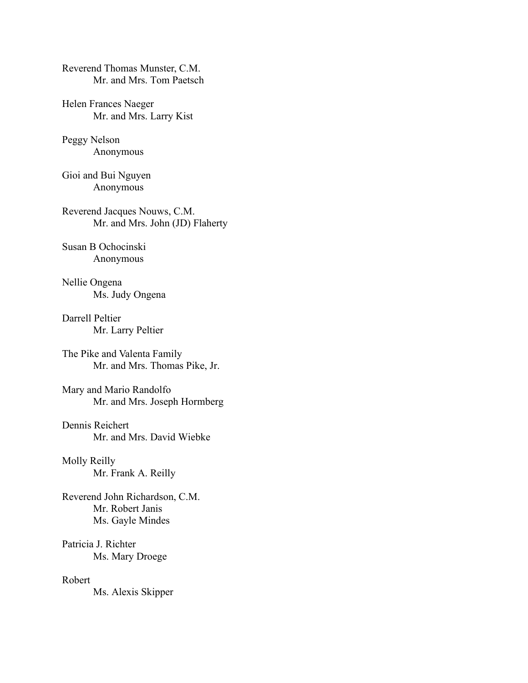Reverend Thomas Munster, C.M. Mr. and Mrs. Tom Paetsch

Helen Frances Naeger Mr. and Mrs. Larry Kist

Peggy Nelson Anonymous

Gioi and Bui Nguyen Anonymous

Reverend Jacques Nouws, C.M. Mr. and Mrs. John (JD) Flaherty

Susan B Ochocinski Anonymous

Nellie Ongena Ms. Judy Ongena

Darrell Peltier Mr. Larry Peltier

The Pike and Valenta Family Mr. and Mrs. Thomas Pike, Jr.

Mary and Mario Randolfo Mr. and Mrs. Joseph Hormberg

Dennis Reichert Mr. and Mrs. David Wiebke

Molly Reilly Mr. Frank A. Reilly

Reverend John Richardson, C.M. Mr. Robert Janis Ms. Gayle Mindes

Patricia J. Richter Ms. Mary Droege

Robert Ms. Alexis Skipper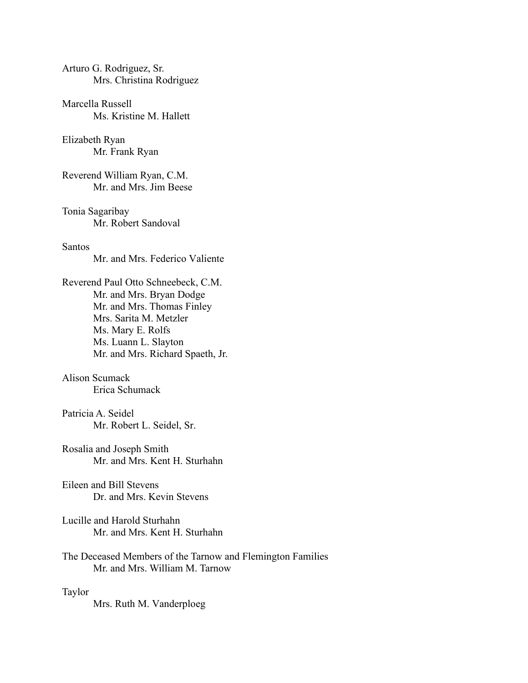## Arturo G. Rodriguez, Sr. Mrs. Christina Rodriguez

Marcella Russell Ms. Kristine M. Hallett

Elizabeth Ryan Mr. Frank Ryan

Reverend William Ryan, C.M. Mr. and Mrs. Jim Beese

Tonia Sagaribay Mr. Robert Sandoval

### Santos

Mr. and Mrs. Federico Valiente

Reverend Paul Otto Schneebeck, C.M. Mr. and Mrs. Bryan Dodge Mr. and Mrs. Thomas Finley Mrs. Sarita M. Metzler Ms. Mary E. Rolfs Ms. Luann L. Slayton Mr. and Mrs. Richard Spaeth, Jr.

### Alison Scumack Erica Schumack

Patricia A. Seidel Mr. Robert L. Seidel, Sr.

Rosalia and Joseph Smith Mr. and Mrs. Kent H. Sturhahn

Eileen and Bill Stevens Dr. and Mrs. Kevin Stevens

Lucille and Harold Sturhahn Mr. and Mrs. Kent H. Sturhahn

The Deceased Members of the Tarnow and Flemington Families Mr. and Mrs. William M. Tarnow

#### Taylor

Mrs. Ruth M. Vanderploeg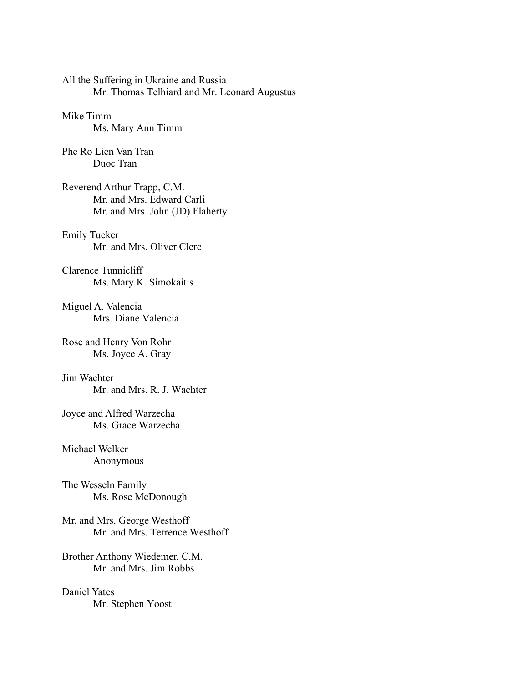All the Suffering in Ukraine and Russia Mr. Thomas Telhiard and Mr. Leonard Augustus

# Mike Timm Ms. Mary Ann Timm

Phe Ro Lien Van Tran Duoc Tran

Reverend Arthur Trapp, C.M. Mr. and Mrs. Edward Carli Mr. and Mrs. John (JD) Flaherty

## Emily Tucker Mr. and Mrs. Oliver Clerc

Clarence Tunnicliff Ms. Mary K. Simokaitis

Miguel A. Valencia Mrs. Diane Valencia

Rose and Henry Von Rohr Ms. Joyce A. Gray

Jim Wachter Mr. and Mrs. R. J. Wachter

Joyce and Alfred Warzecha Ms. Grace Warzecha

## Michael Welker Anonymous

The Wesseln Family Ms. Rose McDonough

Mr. and Mrs. George Westhoff Mr. and Mrs. Terrence Westhoff

Brother Anthony Wiedemer, C.M. Mr. and Mrs. Jim Robbs

Daniel Yates Mr. Stephen Yoost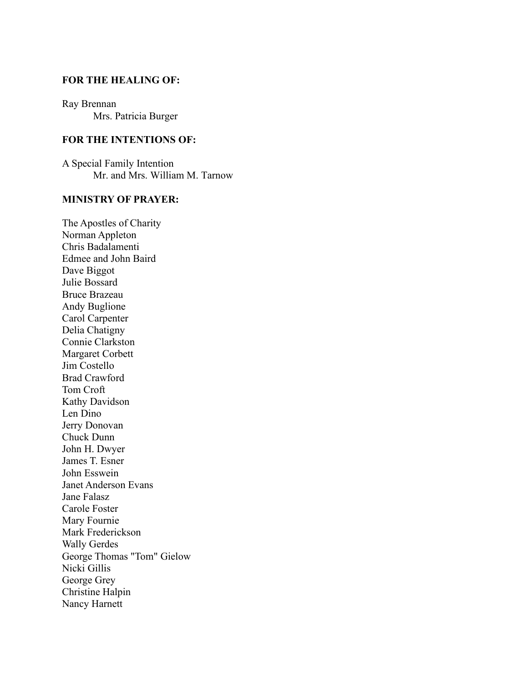### **FOR THE HEALING OF:**

Ray Brennan Mrs. Patricia Burger

### **FOR THE INTENTIONS OF:**

A Special Family Intention Mr. and Mrs. William M. Tarnow

## **MINISTRY OF PRAYER:**

The Apostles of Charity Norman Appleton Chris Badalamenti Edmee and John Baird Dave Biggot Julie Bossard Bruce Brazeau Andy Buglione Carol Carpenter Delia Chatigny Connie Clarkston Margaret Corbett Jim Costello Brad Crawford Tom Croft Kathy Davidson Len Dino Jerry Donovan Chuck Dunn John H. Dwyer James T. Esner John Esswein Janet Anderson Evans Jane Falasz Carole Foster Mary Fournie Mark Frederickson Wally Gerdes George Thomas "Tom" Gielow Nicki Gillis George Grey Christine Halpin Nancy Harnett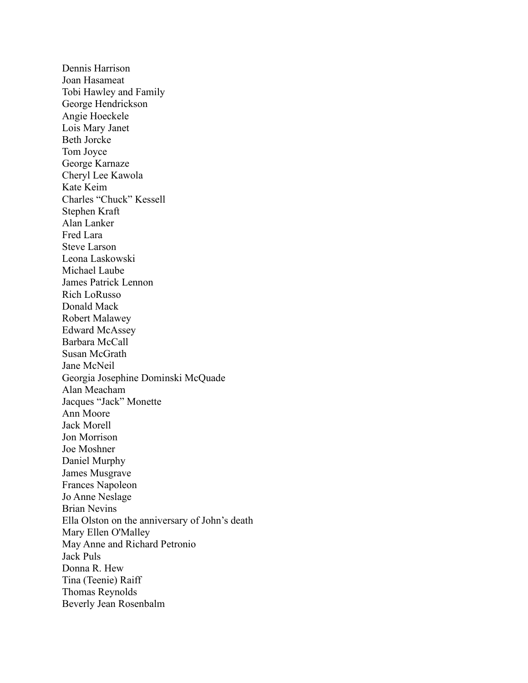Dennis Harrison Joan Hasameat Tobi Hawley and Family George Hendrickson Angie Hoeckele Lois Mary Janet Beth Jorcke Tom Joyce George Karnaze Cheryl Lee Kawola Kate Keim Charles "Chuck" Kessell Stephen Kraft Alan Lanker Fred Lara Steve Larson Leona Laskowski Michael Laube James Patrick Lennon Rich LoRusso Donald Mack Robert Malawey Edward McAssey Barbara McCall Susan McGrath Jane McNeil Georgia Josephine Dominski McQuade Alan Meacham Jacques "Jack" Monette Ann Moore Jack Morell Jon Morrison Joe Moshner Daniel Murphy James Musgrave Frances Napoleon Jo Anne Neslage Brian Nevins Ella Olston on the anniversary of John's death Mary Ellen O'Malley May Anne and Richard Petronio Jack Puls Donna R. Hew Tina (Teenie) Raiff Thomas Reynolds Beverly Jean Rosenbalm